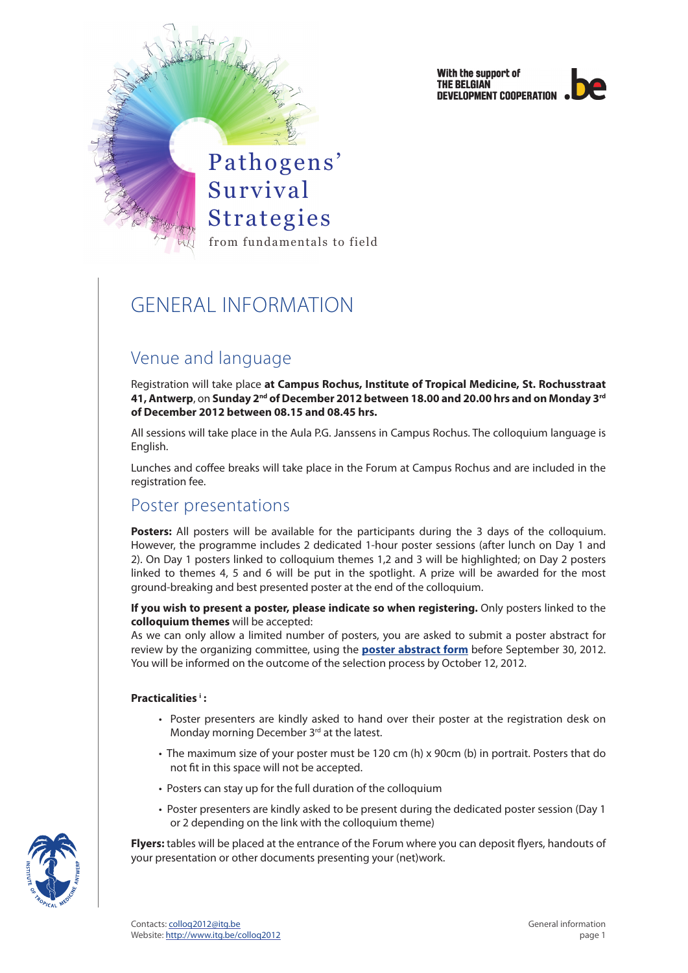



# GENERAL INFORMATION

## Venue and language

Registration will take place **at Campus Rochus, Institute of Tropical Medicine, St. Rochusstraat 41, Antwerp**, on **Sunday 2nd of December 2012 between 18.00 and 20.00 hrs and on Monday 3rd of December 2012 between 08.15 and 08.45 hrs.** 

All sessions will take place in the Aula P.G. Janssens in Campus Rochus. The colloquium language is English.

Lunches and coffee breaks will take place in the Forum at Campus Rochus and are included in the registration fee.

### Poster presentations

**Posters:** All posters will be available for the participants during the 3 days of the colloquium. However, the programme includes 2 dedicated 1-hour poster sessions (after lunch on Day 1 and 2). On Day 1 posters linked to colloquium themes 1,2 and 3 will be highlighted; on Day 2 posters linked to themes 4, 5 and 6 will be put in the spotlight. A prize will be awarded for the most ground-breaking and best presented poster at the end of the colloquium.

**If you wish to present a poster, please indicate so when registering.** Only posters linked to the **colloquium themes** will be accepted:

As we can only allow a limited number of posters, you are asked to submit a poster abstract for review by the organizing committee, using the **[poster abstract form](http://tinyurl.com/czzecy3)** before September 30, 2012. You will be informed on the outcome of the selection process by October 12, 2012.

#### **Practicalities i :**

- Poster presenters are kindly asked to hand over their poster at the registration desk on Monday morning December 3rd at the latest.
- The maximum size of your poster must be 120 cm (h) x 90cm (b) in portrait. Posters that do not fit in this space will not be accepted.
- Posters can stay up for the full duration of the colloquium
- Poster presenters are kindly asked to be present during the dedicated poster session (Day 1 or 2 depending on the link with the colloquium theme)

**Flyers:** tables will be placed at the entrance of the Forum where you can deposit flyers, handouts of your presentation or other documents presenting your (net)work.

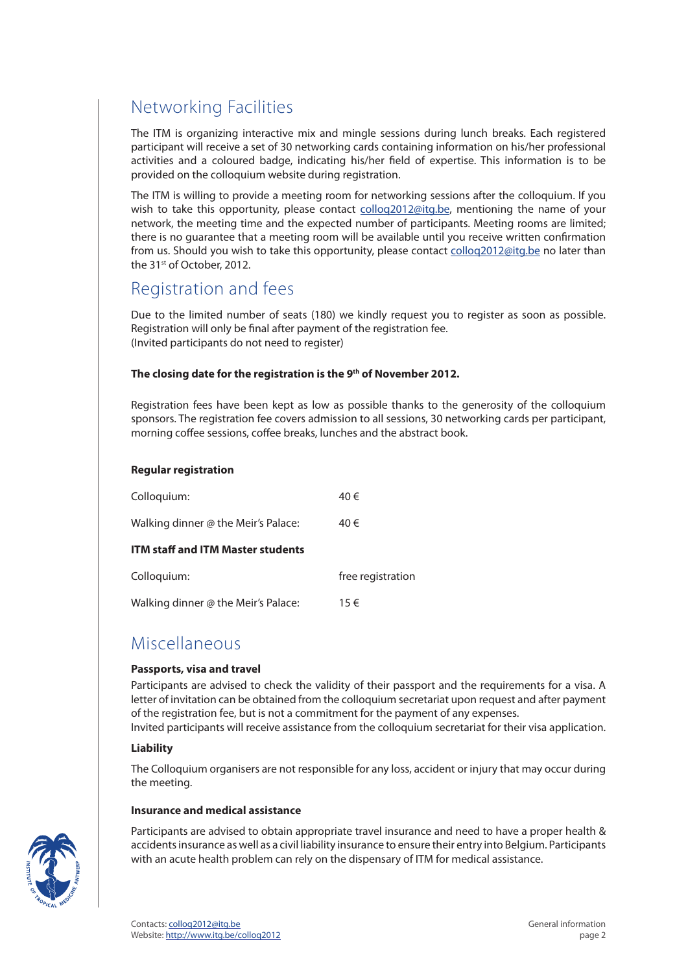# Networking Facilities

The ITM is organizing interactive mix and mingle sessions during lunch breaks. Each registered participant will receive a set of 30 networking cards containing information on his/her professional activities and a coloured badge, indicating his/her field of expertise. This information is to be provided on the colloquium website during registration.

The ITM is willing to provide a meeting room for networking sessions after the colloquium. If you wish to take this opportunity, please contact collog2012@itg.be, mentioning the name of your network, the meeting time and the expected number of participants. Meeting rooms are limited; there is no guarantee that a meeting room will be available until you receive written confirmation from us. Should you wish to take this opportunity, please contact [colloq2012@itg.be](mailto:colloq2012%40itg.be) no later than the 31st of October, 2012.

### Registration and fees

Due to the limited number of seats (180) we kindly request you to register as soon as possible. Registration will only be final after payment of the registration fee. (Invited participants do not need to register)

#### The closing date for the registration is the 9<sup>th</sup> of November 2012.

Registration fees have been kept as low as possible thanks to the generosity of the colloquium sponsors. The registration fee covers admission to all sessions, 30 networking cards per participant, morning coffee sessions, coffee breaks, lunches and the abstract book.

#### **Regular registration**

| Colloquium:                              | 40€               |
|------------------------------------------|-------------------|
| Walking dinner @ the Meir's Palace:      | 40€               |
| <b>ITM staff and ITM Master students</b> |                   |
| Colloquium:                              | free registration |
| Walking dinner @ the Meir's Palace:      | 15€               |

### Miscellaneous

#### **Passports, visa and travel**

Participants are advised to check the validity of their passport and the requirements for a visa. A letter of invitation can be obtained from the colloquium secretariat upon request and after payment of the registration fee, but is not a commitment for the payment of any expenses.

Invited participants will receive assistance from the colloquium secretariat for their visa application.

#### **Liability**

The Colloquium organisers are not responsible for any loss, accident or injury that may occur during the meeting.

#### **Insurance and medical assistance**

Participants are advised to obtain appropriate travel insurance and need to have a proper health & accidents insurance as well as a civil liability insurance to ensure their entry into Belgium. Participants with an acute health problem can rely on the dispensary of ITM for medical assistance.

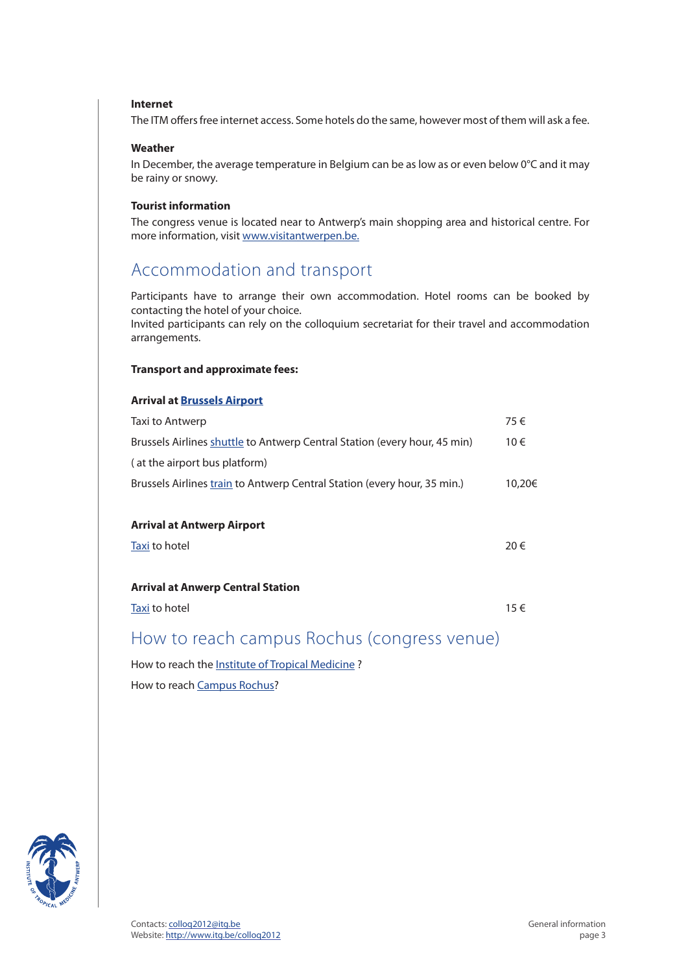#### **Internet**

The ITM offers free internet access. Some hotels do the same, however most of them will ask a fee.

#### **Weather**

In December, the average temperature in Belgium can be as low as or even below 0°C and it may be rainy or snowy.

#### **Tourist information**

The congress venue is located near to Antwerp's main shopping area and historical centre. For more information, visit [www.visitantwerpen.be.](http://www.visitantwerpen.be/)

### Accommodation and transport

Participants have to arrange their own accommodation. Hotel rooms can be booked by contacting the hotel of your choice.

Invited participants can rely on the colloquium secretariat for their travel and accommodation arrangements.

#### **Transport and approximate fees:**

#### **Arrival at [Brussels Airport](http://www.brusselsairport.be/en/passngr/to_from_brussels_airport/bus/)**

| Taxi to Antwerp                                                           | 75€    |
|---------------------------------------------------------------------------|--------|
| Brussels Airlines shuttle to Antwerp Central Station (every hour, 45 min) | 10€    |
| (at the airport bus platform)                                             |        |
| Brussels Airlines train to Antwerp Central Station (every hour, 35 min.)  | 10,20€ |
|                                                                           |        |
| <b>Arrival at Antwerp Airport</b>                                         |        |
| Taxi to hotel                                                             | 20€    |
|                                                                           |        |
| <b>Arrival at Anwerp Central Station</b>                                  |        |
| Taxi to hotel                                                             | 15€    |
| How to roach campus Dochus (congress venua)                               |        |

### How to reach campus Rochus (congress venue)

How to reach the [Institute of Tropical Medicine](http://www.itg.be/itg/GeneralSite/Default.aspx?WPID=109&MIID=459&L=E) ?

How to reach [Campus Rochus](http://www.itg.be/internet/colloq2008/images/map.gif)?

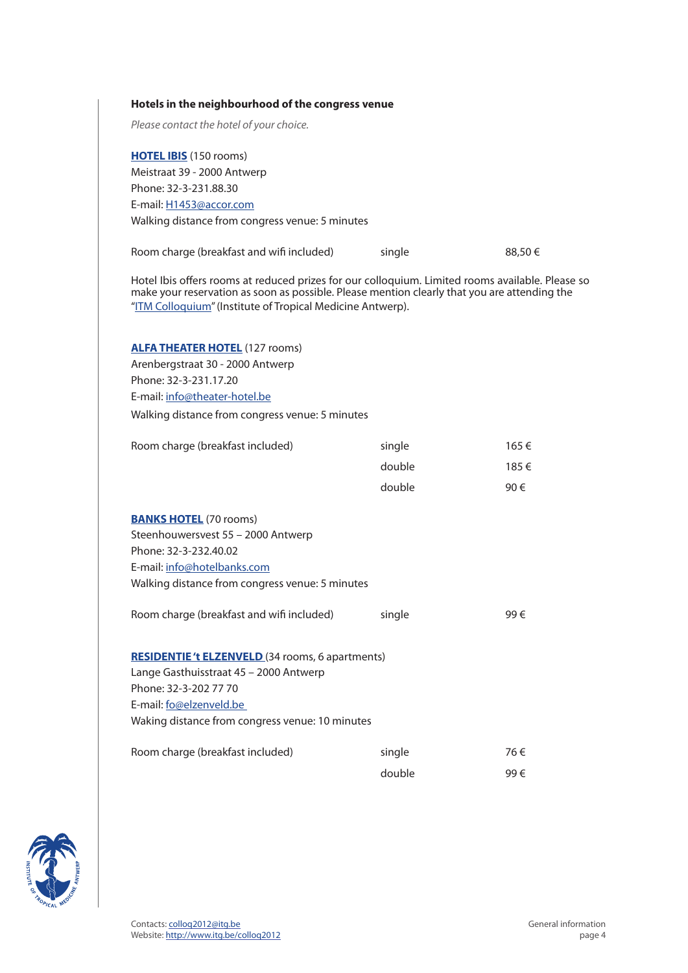#### **Hotels in the neighbourhood of the congress venue**

*Please contact the hotel of your choice.* 

**[HOTEL IBIS](http://www.accorhotels.com/nl/hotel-1453-ibis-antwerpen-centrum/index.shtml)** (150 rooms) Meistraat 39 - 2000 Antwerp Phone: 32-3-231.88.30 E-mail: [H1453@accor.com](mailto:H1453%40accor.com) Walking distance from congress venue: 5 minutes

| Room charge (breakfast and wifi included) | single | 88,50€ |
|-------------------------------------------|--------|--------|
|-------------------------------------------|--------|--------|

Hotel Ibis offers rooms at reduced prizes for our colloquium. Limited rooms available. Please so make your reservation as soon as possible. Please mention clearly that you are attending the "[ITM Colloquium"](http://www.itg.be/internet/colloq2010/index.htm) (Institute of Tropical Medicine Antwerp).

#### **[ALFA THEATER HOTEL](http://www.vhv-hotels.be/hotel/4)** (127 rooms)

Arenbergstraat 30 - 2000 Antwerp Phone: 32-3-231.17.20 E-mail: [info@theater-hotel.be](mailto:info%40hotelbanks.com) Walking distance from congress venue: 5 minutes

| Room charge (breakfast included)                       | single | 165 € |
|--------------------------------------------------------|--------|-------|
|                                                        | double | 185 € |
|                                                        | double | 90 €  |
| <b>BANKS HOTEL</b> (70 rooms)                          |        |       |
| Steenhouwersvest 55 - 2000 Antwerp                     |        |       |
| Phone: 32-3-232.40.02                                  |        |       |
| E-mail: info@hotelbanks.com                            |        |       |
| Walking distance from congress venue: 5 minutes        |        |       |
| Room charge (breakfast and wifi included)              | single | 99€   |
| <b>RESIDENTIE't ELZENVELD</b> (34 rooms, 6 apartments) |        |       |
| Lange Gasthuisstraat 45 - 2000 Antwerp                 |        |       |
| Phone: 32-3-202 77 70                                  |        |       |
| E-mail: fo@elzenveld.be                                |        |       |
| Waking distance from congress venue: 10 minutes        |        |       |
|                                                        |        |       |
| Room charge (breakfast included)                       | single | 76€   |
|                                                        | double | 99€   |